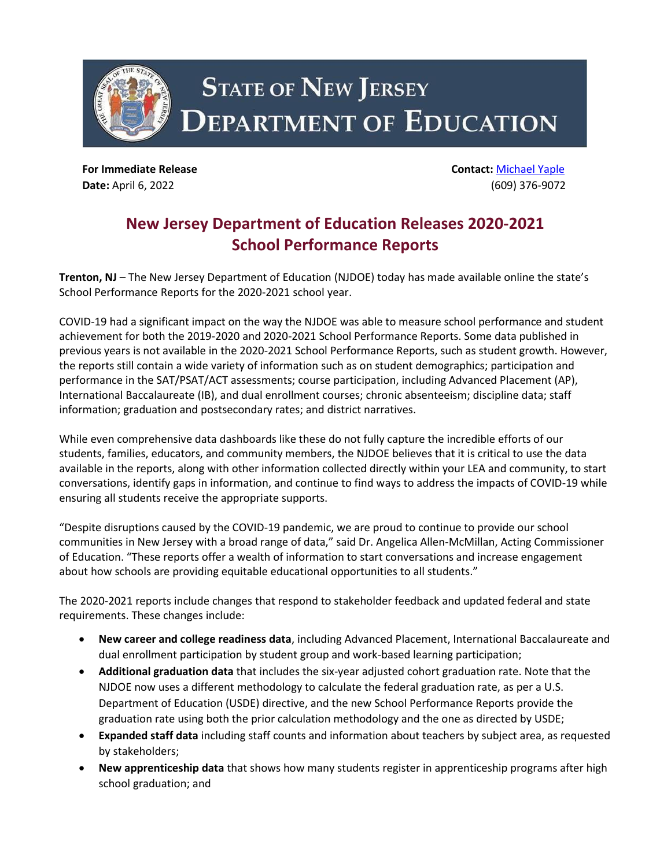

**For Immediate Release Contact:** [Michael Yaple](mailto:Michael.Yaple@doe.nj.gov) **Date:** April 6, 2022 (609) 376-9072

## **New Jersey Department of Education Releases 2020-2021 School Performance Reports**

**Trenton, NJ** – The New Jersey Department of Education (NJDOE) today has made available online the state's School Performance Reports for the 2020-2021 school year.

COVID-19 had a significant impact on the way the NJDOE was able to measure school performance and student achievement for both the 2019-2020 and 2020-2021 School Performance Reports. Some data published in previous years is not available in the 2020-2021 School Performance Reports, such as student growth. However, the reports still contain a wide variety of information such as on student demographics; participation and performance in the SAT/PSAT/ACT assessments; course participation, including Advanced Placement (AP), International Baccalaureate (IB), and dual enrollment courses; chronic absenteeism; discipline data; staff information; graduation and postsecondary rates; and district narratives.

While even comprehensive data dashboards like these do not fully capture the incredible efforts of our students, families, educators, and community members, the NJDOE believes that it is critical to use the data available in the reports, along with other information collected directly within your LEA and community, to start conversations, identify gaps in information, and continue to find ways to address the impacts of COVID-19 while ensuring all students receive the appropriate supports.

"Despite disruptions caused by the COVID-19 pandemic, we are proud to continue to provide our school communities in New Jersey with a broad range of data," said Dr. Angelica Allen-McMillan, Acting Commissioner of Education. "These reports offer a wealth of information to start conversations and increase engagement about how schools are providing equitable educational opportunities to all students."

The 2020-2021 reports include changes that respond to stakeholder feedback and updated federal and state requirements. These changes include:

- **New career and college readiness data**, including Advanced Placement, International Baccalaureate and dual enrollment participation by student group and work-based learning participation;
- **Additional graduation data** that includes the six-year adjusted cohort graduation rate. Note that the NJDOE now uses a different methodology to calculate the federal graduation rate, as per a U.S. Department of Education (USDE) directive, and the new School Performance Reports provide the graduation rate using both the prior calculation methodology and the one as directed by USDE;
- **Expanded staff data** including staff counts and information about teachers by subject area, as requested by stakeholders;
- **New apprenticeship data** that shows how many students register in apprenticeship programs after high school graduation; and